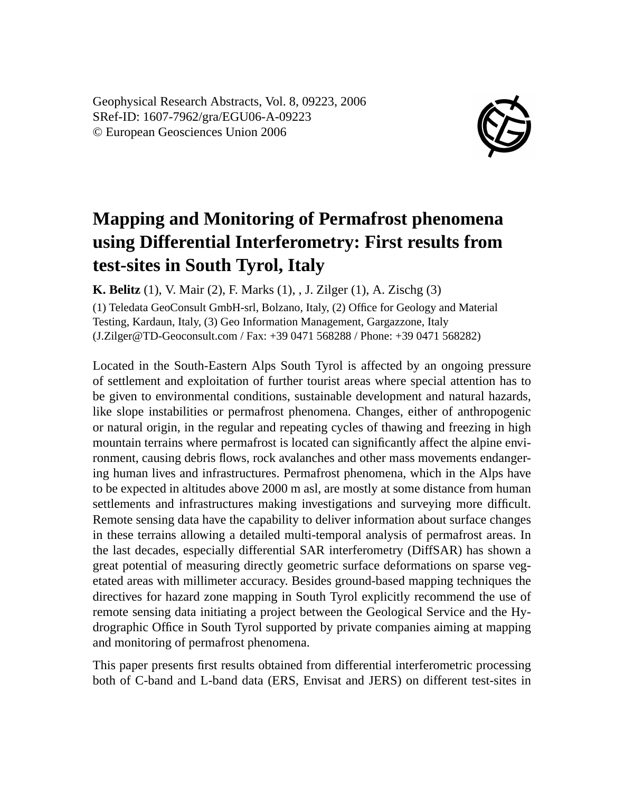Geophysical Research Abstracts, Vol. 8, 09223, 2006 SRef-ID: 1607-7962/gra/EGU06-A-09223 © European Geosciences Union 2006



## **Mapping and Monitoring of Permafrost phenomena using Differential Interferometry: First results from test-sites in South Tyrol, Italy**

**K. Belitz** (1), V. Mair (2), F. Marks (1), , J. Zilger (1), A. Zischg (3)

(1) Teledata GeoConsult GmbH-srl, Bolzano, Italy, (2) Office for Geology and Material Testing, Kardaun, Italy, (3) Geo Information Management, Gargazzone, Italy (J.Zilger@TD-Geoconsult.com / Fax: +39 0471 568288 / Phone: +39 0471 568282)

Located in the South-Eastern Alps South Tyrol is affected by an ongoing pressure of settlement and exploitation of further tourist areas where special attention has to be given to environmental conditions, sustainable development and natural hazards, like slope instabilities or permafrost phenomena. Changes, either of anthropogenic or natural origin, in the regular and repeating cycles of thawing and freezing in high mountain terrains where permafrost is located can significantly affect the alpine environment, causing debris flows, rock avalanches and other mass movements endangering human lives and infrastructures. Permafrost phenomena, which in the Alps have to be expected in altitudes above 2000 m asl, are mostly at some distance from human settlements and infrastructures making investigations and surveying more difficult. Remote sensing data have the capability to deliver information about surface changes in these terrains allowing a detailed multi-temporal analysis of permafrost areas. In the last decades, especially differential SAR interferometry (DiffSAR) has shown a great potential of measuring directly geometric surface deformations on sparse vegetated areas with millimeter accuracy. Besides ground-based mapping techniques the directives for hazard zone mapping in South Tyrol explicitly recommend the use of remote sensing data initiating a project between the Geological Service and the Hydrographic Office in South Tyrol supported by private companies aiming at mapping and monitoring of permafrost phenomena.

This paper presents first results obtained from differential interferometric processing both of C-band and L-band data (ERS, Envisat and JERS) on different test-sites in